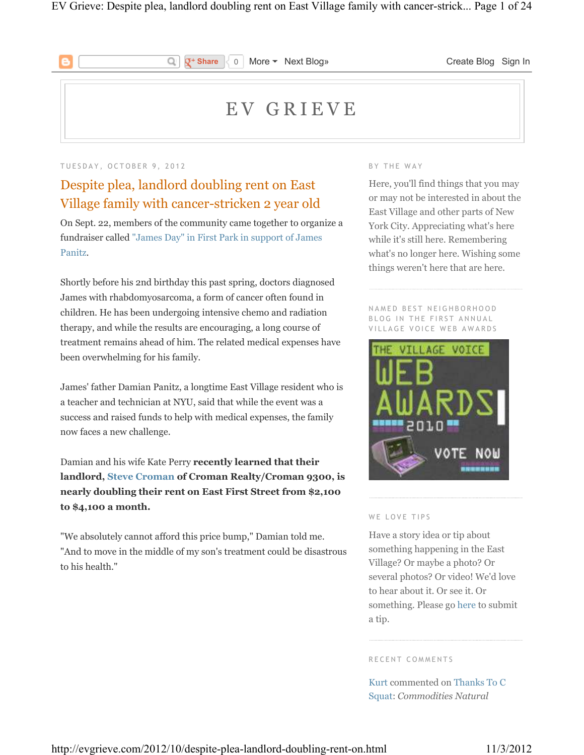

**Q<sup>+</sup> Share**  $\begin{bmatrix} \downarrow & 0 \end{bmatrix}$  More ▼ Next Blog» **Create Blog Sign In** 

# E V G R I E V E

#### TUESDAY, OCTOBER 9, 2012

# Despite plea, landlord doubling rent on East Village family with cancer-stricken 2 year old

Q

On Sept. 22, members of the community came together to organize a fundraiser called "James Day" in First Park in support of James Panitz.

Shortly before his 2nd birthday this past spring, doctors diagnosed James with rhabdomyosarcoma, a form of cancer often found in children. He has been undergoing intensive chemo and radiation therapy, and while the results are encouraging, a long course of treatment remains ahead of him. The related medical expenses have been overwhelming for his family.

James' father Damian Panitz, a longtime East Village resident who is a teacher and technician at NYU, said that while the event was a success and raised funds to help with medical expenses, the family now faces a new challenge.

Damian and his wife Kate Perry **recently learned that their landlord, Steve Croman of Croman Realty/Croman 9300, is nearly doubling their rent on East First Street from \$2,100 to \$4,100 a month.**

"We absolutely cannot afford this price bump," Damian told me. "And to move in the middle of my son's treatment could be disastrous to his health."

#### BY THE WAY

Here, you'll find things that you may or may not be interested in about the East Village and other parts of New York City. Appreciating what's here while it's still here. Remembering what's no longer here. Wishing some things weren't here that are here.

NAMED BEST NEIGHBORHOOD BLOG IN THE FIRST ANNUAL VII LAGE VOICE WEB AWARDS



#### WE LOVE TIPS

Have a story idea or tip about something happening in the East Village? Or maybe a photo? Or several photos? Or video! We'd love to hear about it. Or see it. Or something. Please go here to submit a tip.

R E C E N T C O M M E N T S

Kurt commented on Thanks To C Squat: *Commodities Natural*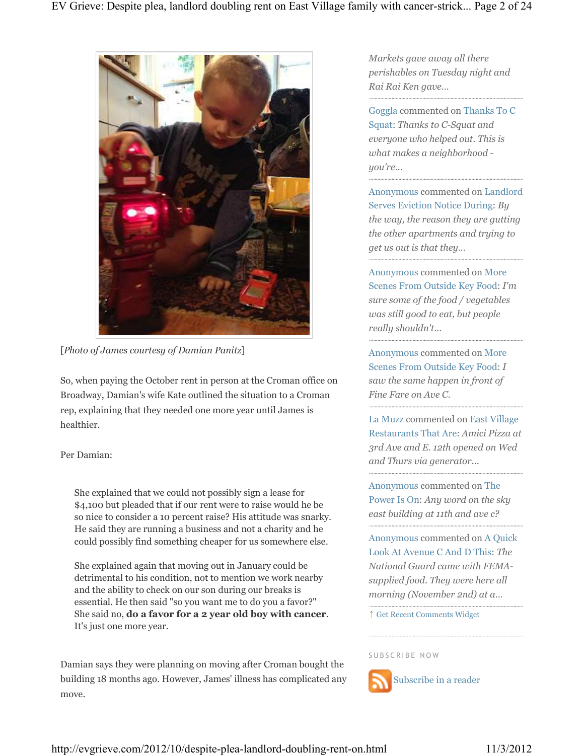

[*Photo of James courtesy of Damian Panitz*]

So, when paying the October rent in person at the Croman office on Broadway, Damian's wife Kate outlined the situation to a Croman rep, explaining that they needed one more year until James is healthier.

### Per Damian:

She explained that we could not possibly sign a lease for \$4,100 but pleaded that if our rent were to raise would he be so nice to consider a 10 percent raise? His attitude was snarky. He said they are running a business and not a charity and he could possibly find something cheaper for us somewhere else.

She explained again that moving out in January could be detrimental to his condition, not to mention we work nearby and the ability to check on our son during our breaks is essential. He then said "so you want me to do you a favor?" She said no, **do a favor for a 2 year old boy with cancer**. It's just one more year.

Damian says they were planning on moving after Croman bought the building 18 months ago. However, James' illness has complicated any move.

*Markets gave away all there perishables on Tuesday night and Rai Rai Ken gave…*

Goggla commented on Thanks To C Squat: *Thanks to C-Squat and everyone who helped out. This is what makes a neighborhood you're…*

Anonymous commented on Landlord Serves Eviction Notice During: *By the way, the reason they are gutting the other apartments and trying to get us out is that they…*

Anonymous commented on More Scenes From Outside Key Food: *I'm sure some of the food / vegetables was still good to eat, but people really shouldn't…*

Anonymous commented on More Scenes From Outside Key Food: *I saw the same happen in front of Fine Fare on Ave C.* 

La Muzz commented on East Village Restaurants That Are: *Amici Pizza at 3rd Ave and E. 12th opened on Wed and Thurs via generator...*

Anonymous commented on The Power Is On: *Any word on the sky east building at 11th and ave c?*

Anonymous commented on A Quick Look At Avenue C And D This: *The National Guard came with FEMAsupplied food. They were here all morning (November 2nd) at a…*

↑ Get Recent Comments Widget

SUBSCRIBE NOW



Subscribe in a reader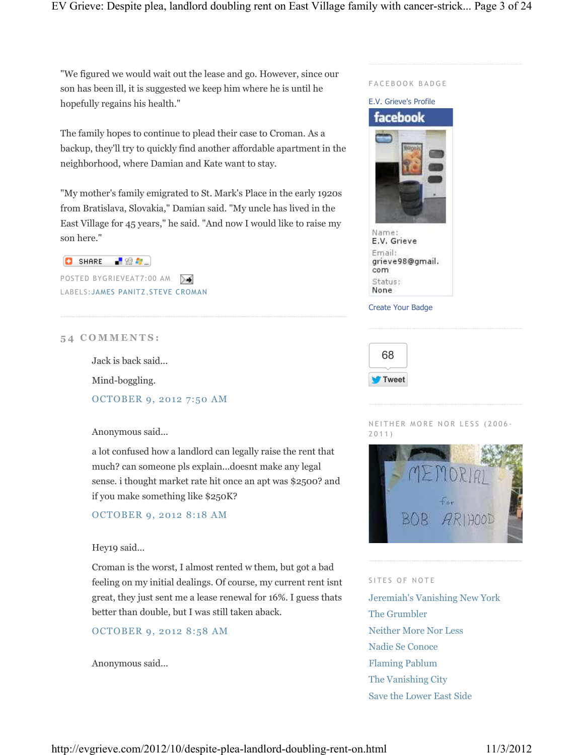"We figured we would wait out the lease and go. However, since our son has been ill, it is suggested we keep him where he is until he hopefully regains his health."

The family hopes to continue to plead their case to Croman. As a backup, they'll try to quickly find another affordable apartment in the neighborhood, where Damian and Kate want to stay.

"My mother's family emigrated to St. Mark's Place in the early 1920s from Bratislava, Slovakia," Damian said. "My uncle has lived in the East Village for 45 years," he said. "And now I would like to raise my son here."



POSTED BYGRIEVEAT7:00 AM ≻≼ LABELS:JAMES PANITZ,STEVE CROMAN

### **5 4 C O M M E N T S :**

Jack is back said...

Mind-boggling.

OCTOBER 9, 2012 7:50 AM

Anonymous said...

a lot confused how a landlord can legally raise the rent that much? can someone pls explain...doesnt make any legal sense. i thought market rate hit once an apt was \$2500? and if you make something like \$250K?

OCTOBER 9, 2012 8:18 AM

### Hey19 said...

Croman is the worst, I almost rented w them, but got a bad feeling on my initial dealings. Of course, my current rent isnt great, they just sent me a lease renewal for 16%. I guess thats better than double, but I was still taken aback.

OCTOBER 9, 2012 8:58 AM

Anonymous said...





NEITHER MORE NOR LESS (2006-2 0 1 1 )



#### SITES OF NOTE

Jeremiah's Vanishing New York The Grumbler Neither More Nor Less Nadie Se Conoce Flaming Pablum The Vanishing City Save the Lower East Side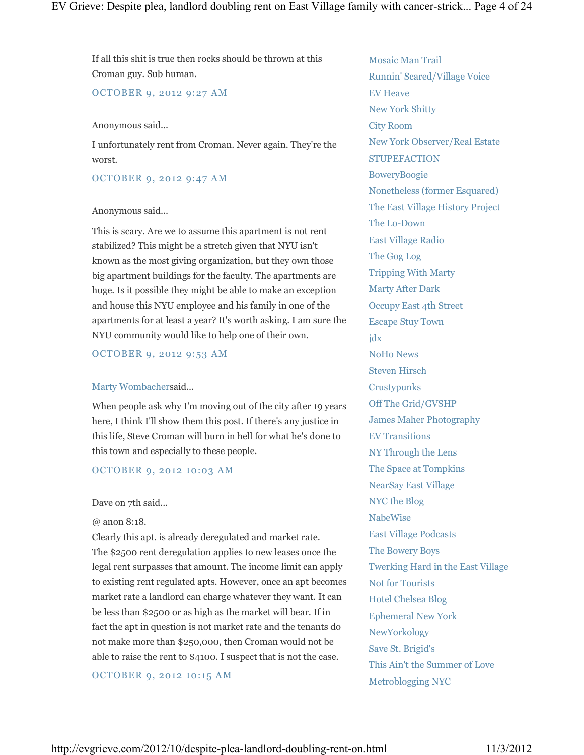If all this shit is true then rocks should be thrown at this Croman guy. Sub human.

### OCTOBER 9, 2012 9:27 AM

#### Anonymous said...

I unfortunately rent from Croman. Never again. They're the worst.

### OCTOBER 9, 2012 9:47 AM

### Anonymous said...

This is scary. Are we to assume this apartment is not rent stabilized? This might be a stretch given that NYU isn't known as the most giving organization, but they own those big apartment buildings for the faculty. The apartments are huge. Is it possible they might be able to make an exception and house this NYU employee and his family in one of the apartments for at least a year? It's worth asking. I am sure the NYU community would like to help one of their own.

OCTOBER 9, 2012 9:53 AM

### Marty Wombachersaid...

When people ask why I'm moving out of the city after 19 years here, I think I'll show them this post. If there's any justice in this life, Steve Croman will burn in hell for what he's done to this town and especially to these people.

### OCTOBER 9, 2012 10:03 AM

### Dave on 7th said...

#### @ anon 8:18.

Clearly this apt. is already deregulated and market rate. The \$2500 rent deregulation applies to new leases once the legal rent surpasses that amount. The income limit can apply to existing rent regulated apts. However, once an apt becomes market rate a landlord can charge whatever they want. It can be less than \$2500 or as high as the market will bear. If in fact the apt in question is not market rate and the tenants do not make more than \$250,000, then Croman would not be able to raise the rent to \$4100. I suspect that is not the case.

OCTOBER 9, 2012 10:15 AM

Mosaic Man Trail Runnin' Scared/Village Voice EV Heave New York Shitty City Room New York Observer/Real Estate **STUPEFACTION** BoweryBoogie Nonetheless (former Esquared) The East Village History Project The Lo-Down East Village Radio The Gog Log Tripping With Marty Marty After Dark Occupy East 4th Street Escape Stuy Town jdx NoHo News Steven Hirsch **Crustypunks** Off The Grid/GVSHP James Maher Photography EV Transitions NY Through the Lens The Space at Tompkins NearSay East Village NYC the Blog NabeWise East Village Podcasts The Bowery Boys Twerking Hard in the East Village Not for Tourists Hotel Chelsea Blog Ephemeral New York NewYorkology Save St. Brigid's This Ain't the Summer of Love Metroblogging NYC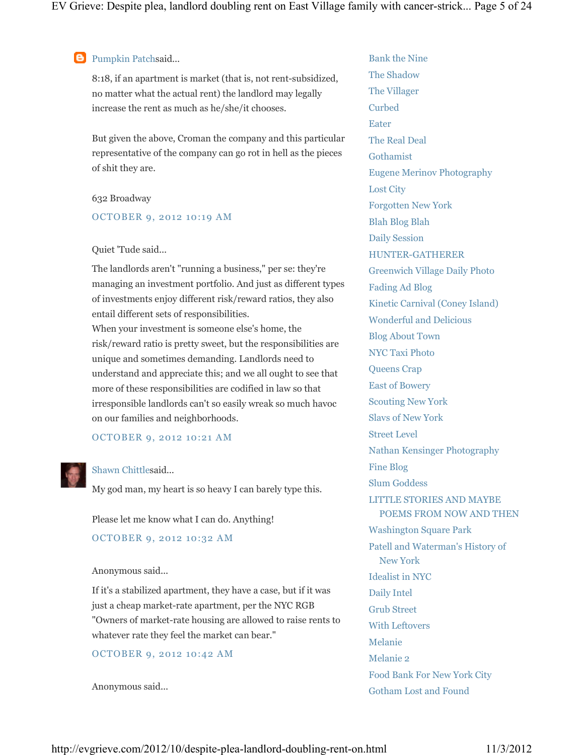### **Pumpkin Patchsaid...**

8:18, if an apartment is market (that is, not rent-subsidized, no matter what the actual rent) the landlord may legally increase the rent as much as he/she/it chooses.

But given the above, Croman the company and this particular representative of the company can go rot in hell as the pieces of shit they are.

#### 632 Broadway

### OCTOBER 9, 2012 10:19 AM

#### Quiet 'Tude said...

The landlords aren't "running a business," per se: they're managing an investment portfolio. And just as different types of investments enjoy different risk/reward ratios, they also entail different sets of responsibilities. When your investment is someone else's home, the risk/reward ratio is pretty sweet, but the responsibilities are unique and sometimes demanding. Landlords need to understand and appreciate this; and we all ought to see that more of these responsibilities are codified in law so that irresponsible landlords can't so easily wreak so much havoc on our families and neighborhoods.

#### OCTOBER 9, 2012 10:21 AM

#### Shawn Chittlesaid...

My god man, my heart is so heavy I can barely type this.

Please let me know what I can do. Anything!

#### OCTOBER 9, 2012 10:32 AM

#### Anonymous said...

If it's a stabilized apartment, they have a case, but if it was just a cheap market-rate apartment, per the NYC RGB "Owners of market-rate housing are allowed to raise rents to whatever rate they feel the market can bear."

### OCTOBER 9, 2012 10:42 AM

Anonymous said...

Bank the Nine The Shadow The Villager Curbed Eater The Real Deal Gothamist Eugene Merinov Photography Lost City Forgotten New York Blah Blog Blah Daily Session HUNTER-GATHERER Greenwich Village Daily Photo Fading Ad Blog Kinetic Carnival (Coney Island) Wonderful and Delicious Blog About Town NYC Taxi Photo Queens Crap East of Bowery Scouting New York Slavs of New York Street Level Nathan Kensinger Photography Fine Blog Slum Goddess LITTLE STORIES AND MAYBE POEMS FROM NOW AND THEN Washington Square Park Patell and Waterman's History of New York Idealist in NYC Daily Intel Grub Street With Leftovers Melanie Melanie 2 Food Bank For New York City Gotham Lost and Found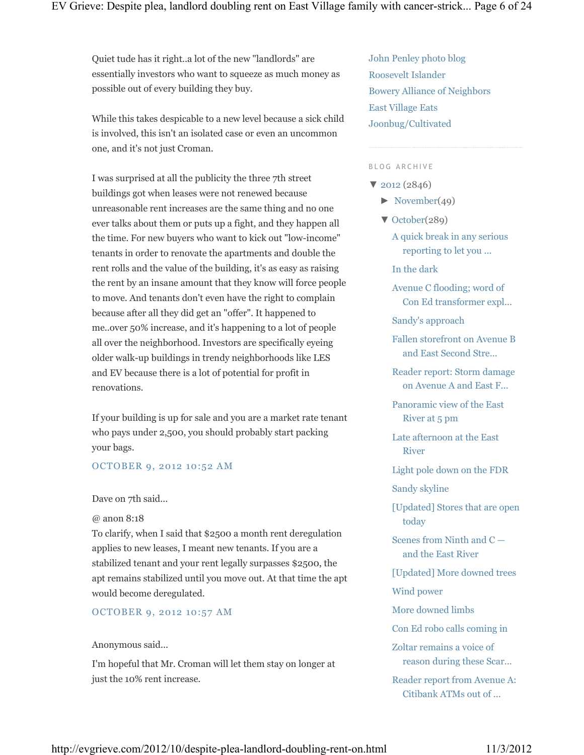Quiet tude has it right..a lot of the new "landlords" are essentially investors who want to squeeze as much money as possible out of every building they buy.

While this takes despicable to a new level because a sick child is involved, this isn't an isolated case or even an uncommon one, and it's not just Croman.

I was surprised at all the publicity the three 7th street buildings got when leases were not renewed because unreasonable rent increases are the same thing and no one ever talks about them or puts up a fight, and they happen all the time. For new buyers who want to kick out "low-income" tenants in order to renovate the apartments and double the rent rolls and the value of the building, it's as easy as raising the rent by an insane amount that they know will force people to move. And tenants don't even have the right to complain because after all they did get an "offer". It happened to me..over 50% increase, and it's happening to a lot of people all over the neighborhood. Investors are specifically eyeing older walk-up buildings in trendy neighborhoods like LES and EV because there is a lot of potential for profit in renovations.

If your building is up for sale and you are a market rate tenant who pays under 2,500, you should probably start packing your bags.

### OCTOBER 9, 2012 10:52 AM

#### Dave on 7th said...

@ anon 8:18

To clarify, when I said that \$2500 a month rent deregulation applies to new leases, I meant new tenants. If you are a stabilized tenant and your rent legally surpasses \$2500, the apt remains stabilized until you move out. At that time the apt would become deregulated.

OCTOBER 9, 2012 10:57 AM

### Anonymous said...

I'm hopeful that Mr. Croman will let them stay on longer at just the 10% rent increase.

John Penley photo blog Roosevelt Islander Bowery Alliance of Neighbors East Village Eats Joonbug/Cultivated

#### BLOG ARCHIVE

- ▼ 2012 (2846)
	- $\blacktriangleright$  November(49)
	- ▼ October(289)
		- A quick break in any serious reporting to let you ...
		- In the dark
		- Avenue C flooding; word of Con Ed transformer expl...
		- Sandy's approach
		- Fallen storefront on Avenue B and East Second Stre...
		- Reader report: Storm damage on Avenue A and East F...
		- Panoramic view of the East River at 5 pm
		- Late afternoon at the East River
		- Light pole down on the FDR
		- Sandy skyline
		- [Updated] Stores that are open today
		- Scenes from Ninth and C and the East River
		- [Updated] More downed trees
		- Wind power
		- More downed limbs
		- Con Ed robo calls coming in
		- Zoltar remains a voice of reason during these Scar...
		- Reader report from Avenue A: Citibank ATMs out of ...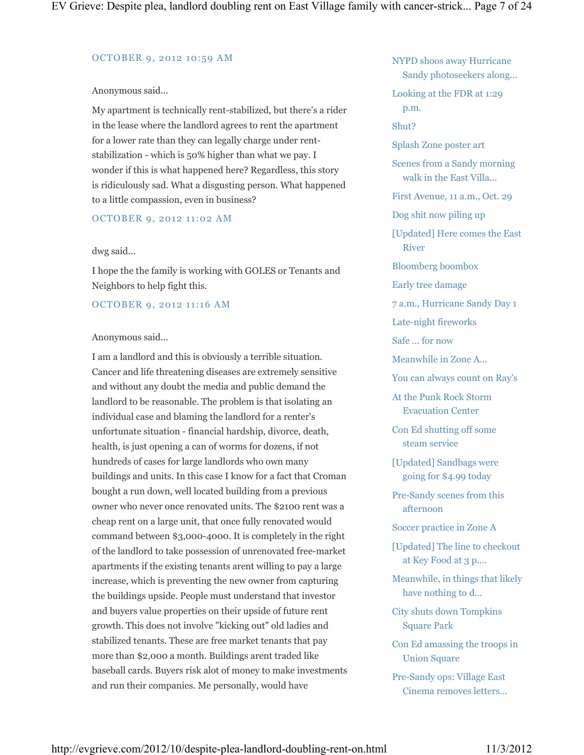#### OCTOBER 9, 2012 10:59 AM

### Anonymous said...

My apartment is technically rent-stabilized, but there's a rider in the lease where the landlord agrees to rent the apartment for a lower rate than they can legally charge under rentstabilization - which is 50% higher than what we pay. I wonder if this is what happened here? Regardless, this story is ridiculously sad. What a disgusting person. What happened to a little compassion, even in business?

### OCTOBER 9, 2012 11:02 AM

### dwg said...

I hope the the family is working with GOLES or Tenants and Neighbors to help fight this.

### OCTOBER 9, 2012 11:16 AM

### Anonymous said...

I am a landlord and this is obviously a terrible situation. Cancer and life threatening diseases are extremely sensitive and without any doubt the media and public demand the landlord to be reasonable. The problem is that isolating an individual case and blaming the landlord for a renter's unfortunate situation - financial hardship, divorce, death, health, is just opening a can of worms for dozens, if not hundreds of cases for large landlords who own many buildings and units. In this case I know for a fact that Croman bought a run down, well located building from a previous owner who never once renovated units. The \$2100 rent was a cheap rent on a large unit, that once fully renovated would command between \$3,000-4000. It is completely in the right of the landlord to take possession of unrenovated free-market apartments if the existing tenants arent willing to pay a large increase, which is preventing the new owner from capturing the buildings upside. People must understand that investor and buyers value properties on their upside of future rent growth. This does not involve "kicking out" old ladies and stabilized tenants. These are free market tenants that pay more than \$2,000 a month. Buildings arent traded like baseball cards. Buyers risk alot of money to make investments and run their companies. Me personally, would have

NYPD shoos away Hurricane Sandy photoseekers along... Looking at the FDR at 1:29 p.m. Shut? Splash Zone poster art Scenes from a Sandy morning walk in the East Villa... First Avenue, 11 a.m., Oct. 29 Dog shit now piling up [Updated] Here comes the East River Bloomberg boombox Early tree damage 7 a.m., Hurricane Sandy Day 1 Late-night fireworks Safe ... for now Meanwhile in Zone A... You can always count on Ray's At the Punk Rock Storm Evacuation Center Con Ed shutting off some steam service [Updated] Sandbags were going for \$4.99 today Pre-Sandy scenes from this afternoon Soccer practice in Zone A [Updated] The line to checkout at Key Food at 3 p.... Meanwhile, in things that likely have nothing to d... City shuts down Tompkins Square Park Con Ed amassing the troops in

Pre-Sandy ops: Village East Cinema removes letters...

Union Square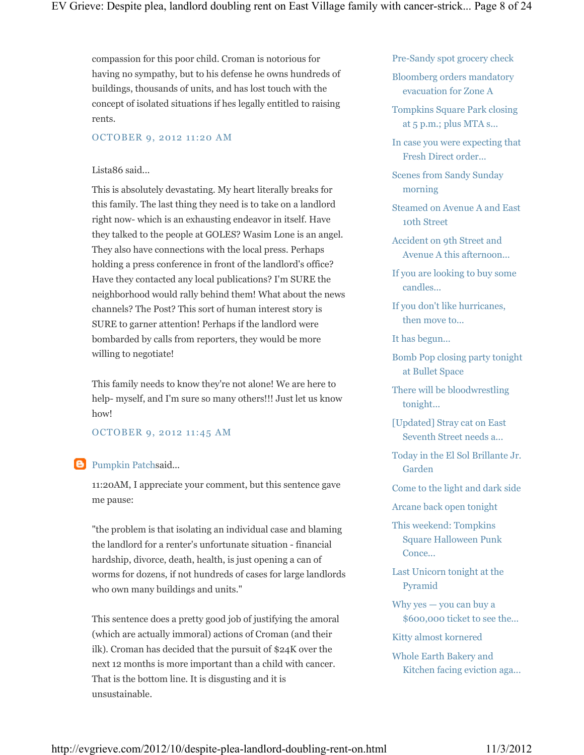compassion for this poor child. Croman is notorious for having no sympathy, but to his defense he owns hundreds of buildings, thousands of units, and has lost touch with the concept of isolated situations if hes legally entitled to raising rents.

#### OCTOBER 9, 2012 11:20 AM

### Lista86 said...

This is absolutely devastating. My heart literally breaks for this family. The last thing they need is to take on a landlord right now- which is an exhausting endeavor in itself. Have they talked to the people at GOLES? Wasim Lone is an angel. They also have connections with the local press. Perhaps holding a press conference in front of the landlord's office? Have they contacted any local publications? I'm SURE the neighborhood would rally behind them! What about the news channels? The Post? This sort of human interest story is SURE to garner attention! Perhaps if the landlord were bombarded by calls from reporters, they would be more willing to negotiate!

This family needs to know they're not alone! We are here to help- myself, and I'm sure so many others!!! Just let us know how!

### OCTOBER 9, 2012 11:45 AM

### **B** Pumpkin Patchsaid...

11:20AM, I appreciate your comment, but this sentence gave me pause:

"the problem is that isolating an individual case and blaming the landlord for a renter's unfortunate situation - financial hardship, divorce, death, health, is just opening a can of worms for dozens, if not hundreds of cases for large landlords who own many buildings and units."

This sentence does a pretty good job of justifying the amoral (which are actually immoral) actions of Croman (and their ilk). Croman has decided that the pursuit of \$24K over the next 12 months is more important than a child with cancer. That is the bottom line. It is disgusting and it is unsustainable.

Pre-Sandy spot grocery check

Bloomberg orders mandatory evacuation for Zone A

Tompkins Square Park closing at 5 p.m.; plus MTA s...

In case you were expecting that Fresh Direct order...

Scenes from Sandy Sunday morning

Steamed on Avenue A and East 10th Street

Accident on 9th Street and Avenue A this afternoon...

If you are looking to buy some candles...

If you don't like hurricanes, then move to...

It has begun...

Bomb Pop closing party tonight at Bullet Space

There will be bloodwrestling tonight...

[Updated] Stray cat on East Seventh Street needs a...

Today in the El Sol Brillante Jr. Garden

Come to the light and dark side

Arcane back open tonight

This weekend: Tompkins Square Halloween Punk Conce...

Last Unicorn tonight at the Pyramid

Why yes — you can buy a \$600,000 ticket to see the...

Kitty almost kornered

Whole Earth Bakery and Kitchen facing eviction aga...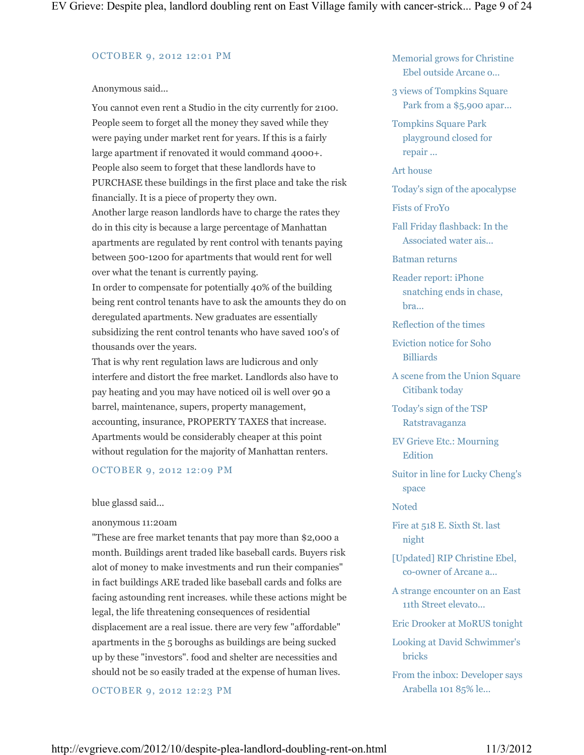#### OCTOBER 9, 2012 12:01 PM

#### Anonymous said...

You cannot even rent a Studio in the city currently for 2100. People seem to forget all the money they saved while they were paying under market rent for years. If this is a fairly large apartment if renovated it would command 4000+. People also seem to forget that these landlords have to PURCHASE these buildings in the first place and take the risk financially. It is a piece of property they own. Another large reason landlords have to charge the rates they do in this city is because a large percentage of Manhattan apartments are regulated by rent control with tenants paying between 500-1200 for apartments that would rent for well over what the tenant is currently paying. In order to compensate for potentially 40% of the building being rent control tenants have to ask the amounts they do on deregulated apartments. New graduates are essentially subsidizing the rent control tenants who have saved 100's of thousands over the years.

That is why rent regulation laws are ludicrous and only interfere and distort the free market. Landlords also have to pay heating and you may have noticed oil is well over 90 a barrel, maintenance, supers, property management, accounting, insurance, PROPERTY TAXES that increase. Apartments would be considerably cheaper at this point without regulation for the majority of Manhattan renters.

#### OCTOBER 9, 2012 12:09 PM

#### blue glassd said...

#### anonymous 11:20am

"These are free market tenants that pay more than \$2,000 a month. Buildings arent traded like baseball cards. Buyers risk alot of money to make investments and run their companies" in fact buildings ARE traded like baseball cards and folks are facing astounding rent increases. while these actions might be legal, the life threatening consequences of residential displacement are a real issue. there are very few "affordable" apartments in the 5 boroughs as buildings are being sucked up by these "investors". food and shelter are necessities and should not be so easily traded at the expense of human lives.

OCTOBER 9, 2012 12:23 PM

Memorial grows for Christine Ebel outside Arcane o...

- 3 views of Tompkins Square Park from a \$5,900 apar...
- Tompkins Square Park playground closed for repair ...

#### Art house

- Today's sign of the apocalypse
- Fists of FroYo
- Fall Friday flashback: In the Associated water ais...

Batman returns

- Reader report: iPhone snatching ends in chase, bra...
- Reflection of the times
- Eviction notice for Soho Billiards
- A scene from the Union Square Citibank today
- Today's sign of the TSP Ratstravaganza
- EV Grieve Etc.: Mourning Edition
- Suitor in line for Lucky Cheng's space

### **Noted**

- Fire at 518 E. Sixth St. last night
- [Updated] RIP Christine Ebel, co-owner of Arcane a...
- A strange encounter on an East 11th Street elevato...
- Eric Drooker at MoRUS tonight
- Looking at David Schwimmer's bricks
- From the inbox: Developer says Arabella 101 85% le...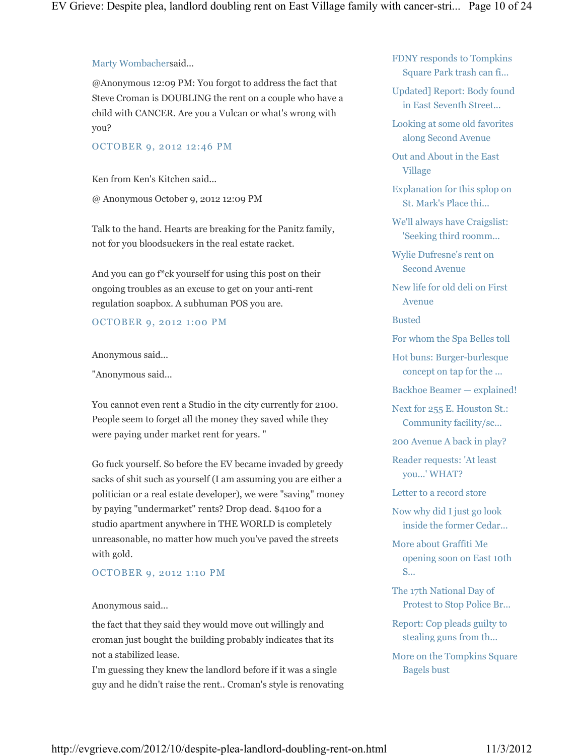### Marty Wombachersaid...

@Anonymous 12:09 PM: You forgot to address the fact that Steve Croman is DOUBLING the rent on a couple who have a child with CANCER. Are you a Vulcan or what's wrong with you?

### OCTOBER 9, 2012 12:46 PM

Ken from Ken's Kitchen said...

@ Anonymous October 9, 2012 12:09 PM

Talk to the hand. Hearts are breaking for the Panitz family, not for you bloodsuckers in the real estate racket.

And you can go f\*ck yourself for using this post on their ongoing troubles as an excuse to get on your anti-rent regulation soapbox. A subhuman POS you are.

### OCTOBER 9, 2012 1:00 PM

Anonymous said...

"Anonymous said...

You cannot even rent a Studio in the city currently for 2100. People seem to forget all the money they saved while they were paying under market rent for years. "

Go fuck yourself. So before the EV became invaded by greedy sacks of shit such as yourself (I am assuming you are either a politician or a real estate developer), we were "saving" money by paying "undermarket" rents? Drop dead. \$4100 for a studio apartment anywhere in THE WORLD is completely unreasonable, no matter how much you've paved the streets with gold.

### OCTOBER 9, 2012 1:10 PM

### Anonymous said...

the fact that they said they would move out willingly and croman just bought the building probably indicates that its not a stabilized lease.

I'm guessing they knew the landlord before if it was a single guy and he didn't raise the rent.. Croman's style is renovating FDNY responds to Tompkins Square Park trash can fi...

Updated] Report: Body found in East Seventh Street...

Looking at some old favorites along Second Avenue

Out and About in the East Village

Explanation for this splop on St. Mark's Place thi...

We'll always have Craigslist: 'Seeking third roomm...

Wylie Dufresne's rent on Second Avenue

New life for old deli on First Avenue

Busted

For whom the Spa Belles toll

Hot buns: Burger-burlesque concept on tap for the ...

Backhoe Beamer — explained!

Next for 255 E. Houston St.: Community facility/sc...

200 Avenue A back in play?

Reader requests: 'At least you...' WHAT?

Letter to a record store

Now why did I just go look inside the former Cedar...

More about Graffiti Me opening soon on East 10th S...

The 17th National Day of Protest to Stop Police Br...

Report: Cop pleads guilty to stealing guns from th...

More on the Tompkins Square Bagels bust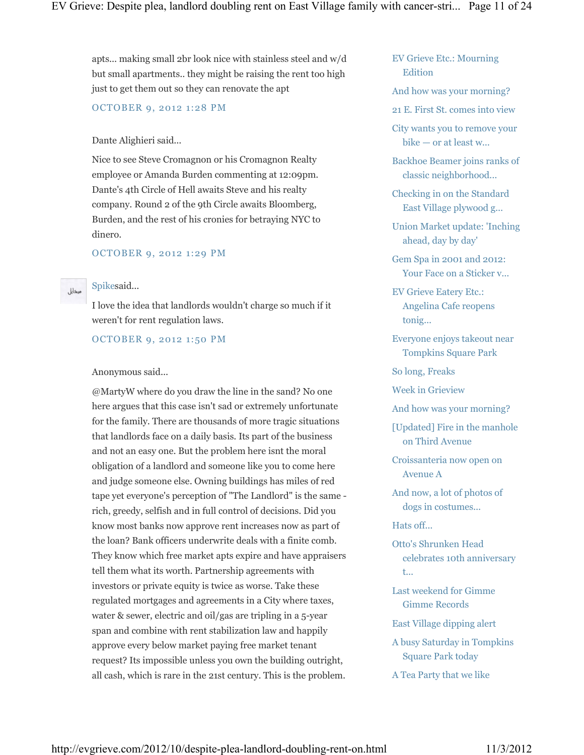apts... making small 2br look nice with stainless steel and w/d but small apartments.. they might be raising the rent too high just to get them out so they can renovate the apt

OCTOBER 9, 2012 1:28 PM

### Dante Alighieri said...

Nice to see Steve Cromagnon or his Cromagnon Realty employee or Amanda Burden commenting at 12:09pm. Dante's 4th Circle of Hell awaits Steve and his realty company. Round 2 of the 9th Circle awaits Bloomberg, Burden, and the rest of his cronies for betraying NYC to dinero.

### OCTOBER 9, 2012 1:29 PM

#### Spikesaid...

مبخايل

I love the idea that landlords wouldn't charge so much if it weren't for rent regulation laws.

OCTOBER 9, 2012 1:50 PM

#### Anonymous said...

@MartyW where do you draw the line in the sand? No one here argues that this case isn't sad or extremely unfortunate for the family. There are thousands of more tragic situations that landlords face on a daily basis. Its part of the business and not an easy one. But the problem here isnt the moral obligation of a landlord and someone like you to come here and judge someone else. Owning buildings has miles of red tape yet everyone's perception of "The Landlord" is the same rich, greedy, selfish and in full control of decisions. Did you know most banks now approve rent increases now as part of the loan? Bank officers underwrite deals with a finite comb. They know which free market apts expire and have appraisers tell them what its worth. Partnership agreements with investors or private equity is twice as worse. Take these regulated mortgages and agreements in a City where taxes, water & sewer, electric and oil/gas are tripling in a 5-year span and combine with rent stabilization law and happily approve every below market paying free market tenant request? Its impossible unless you own the building outright, all cash, which is rare in the 21st century. This is the problem.

### EV Grieve Etc.: Mourning Edition

And how was your morning?

21 E. First St. comes into view

City wants you to remove your bike — or at least w...

Backhoe Beamer joins ranks of classic neighborhood...

Checking in on the Standard East Village plywood g...

Union Market update: 'Inching ahead, day by day'

Gem Spa in 2001 and 2012: Your Face on a Sticker v...

EV Grieve Eatery Etc.: Angelina Cafe reopens tonig...

Everyone enjoys takeout near Tompkins Square Park

So long, Freaks

Week in Grieview

And how was your morning?

[Updated] Fire in the manhole on Third Avenue

Croissanteria now open on Avenue A

And now, a lot of photos of dogs in costumes...

Hats off...

Otto's Shrunken Head celebrates 10th anniversary t...

Last weekend for Gimme Gimme Records

East Village dipping alert

A busy Saturday in Tompkins Square Park today

A Tea Party that we like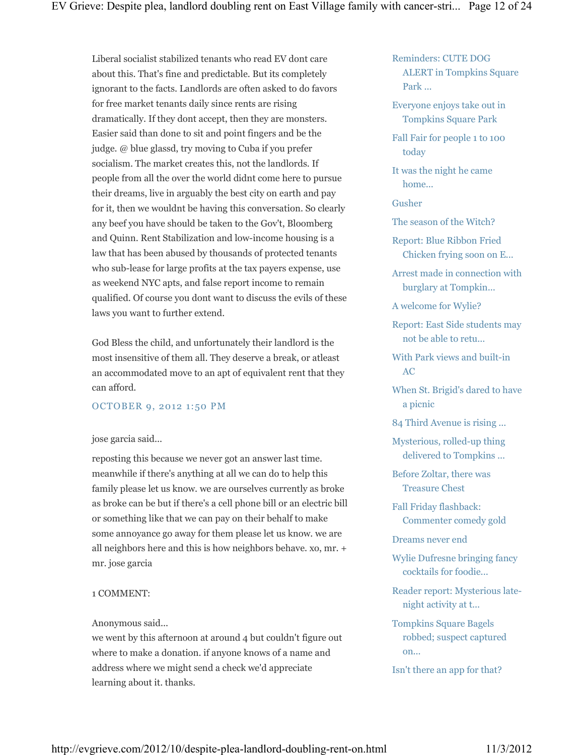Liberal socialist stabilized tenants who read EV dont care about this. That's fine and predictable. But its completely ignorant to the facts. Landlords are often asked to do favors for free market tenants daily since rents are rising dramatically. If they dont accept, then they are monsters. Easier said than done to sit and point fingers and be the judge. @ blue glassd, try moving to Cuba if you prefer socialism. The market creates this, not the landlords. If people from all the over the world didnt come here to pursue their dreams, live in arguably the best city on earth and pay for it, then we wouldnt be having this conversation. So clearly any beef you have should be taken to the Gov't, Bloomberg and Quinn. Rent Stabilization and low-income housing is a law that has been abused by thousands of protected tenants who sub-lease for large profits at the tax payers expense, use as weekend NYC apts, and false report income to remain qualified. Of course you dont want to discuss the evils of these laws you want to further extend.

God Bless the child, and unfortunately their landlord is the most insensitive of them all. They deserve a break, or atleast an accommodated move to an apt of equivalent rent that they can afford.

#### OCTOBER 9, 2012 1:50 PM

#### jose garcia said...

reposting this because we never got an answer last time. meanwhile if there's anything at all we can do to help this family please let us know. we are ourselves currently as broke as broke can be but if there's a cell phone bill or an electric bill or something like that we can pay on their behalf to make some annoyance go away for them please let us know. we are all neighbors here and this is how neighbors behave. xo, mr. + mr. jose garcia

#### 1 COMMENT:

#### Anonymous said...

we went by this afternoon at around 4 but couldn't figure out where to make a donation. if anyone knows of a name and address where we might send a check we'd appreciate learning about it. thanks.

### Reminders: CUTE DOG ALERT in Tompkins Square Park ...

Everyone enjoys take out in Tompkins Square Park

Fall Fair for people 1 to 100 today

It was the night he came home...

Gusher

The season of the Witch?

Report: Blue Ribbon Fried Chicken frying soon on E...

Arrest made in connection with burglary at Tompkin...

A welcome for Wylie?

Report: East Side students may not be able to retu...

With Park views and built-in AC

When St. Brigid's dared to have a picnic

84 Third Avenue is rising ...

Mysterious, rolled-up thing delivered to Tompkins ...

Before Zoltar, there was Treasure Chest

Fall Friday flashback: Commenter comedy gold

Dreams never end

Wylie Dufresne bringing fancy cocktails for foodie...

Reader report: Mysterious latenight activity at t...

Tompkins Square Bagels robbed; suspect captured on...

Isn't there an app for that?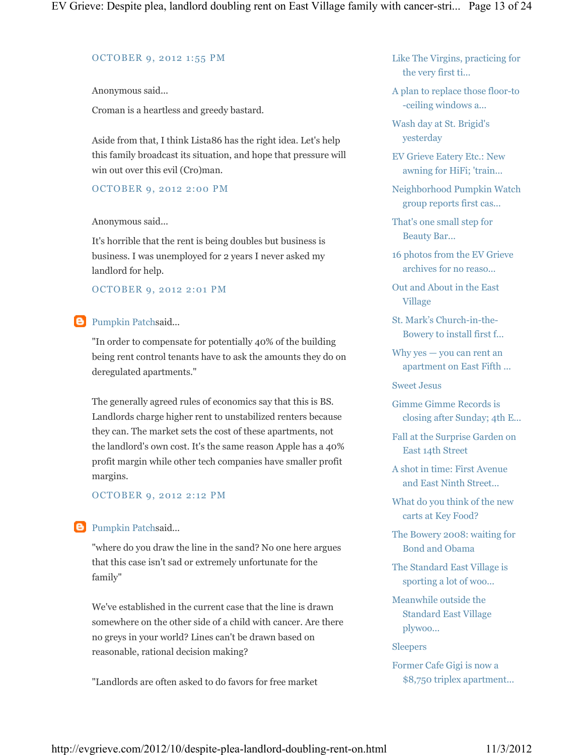#### OCTOBER 9, 2012 1:55 PM

Anonymous said...

Croman is a heartless and greedy bastard.

Aside from that, I think Lista86 has the right idea. Let's help this family broadcast its situation, and hope that pressure will win out over this evil (Cro)man.

### OCTOBER 9, 2012 2:00 PM

Anonymous said...

It's horrible that the rent is being doubles but business is business. I was unemployed for 2 years I never asked my landlord for help.

### OCTOBER 9, 2012 2:01 PM

### **B** Pumpkin Patchsaid...

"In order to compensate for potentially 40% of the building being rent control tenants have to ask the amounts they do on deregulated apartments."

The generally agreed rules of economics say that this is BS. Landlords charge higher rent to unstabilized renters because they can. The market sets the cost of these apartments, not the landlord's own cost. It's the same reason Apple has a 40% profit margin while other tech companies have smaller profit margins.

### OCTOBER 9, 2012 2:12 PM

### **B** Pumpkin Patchsaid...

"where do you draw the line in the sand? No one here argues that this case isn't sad or extremely unfortunate for the family"

We've established in the current case that the line is drawn somewhere on the other side of a child with cancer. Are there no greys in your world? Lines can't be drawn based on reasonable, rational decision making?

"Landlords are often asked to do favors for free market

Like The Virgins, practicing for the very first ti...

A plan to replace those floor-to -ceiling windows a...

Wash day at St. Brigid's yesterday

EV Grieve Eatery Etc.: New awning for HiFi; 'train...

Neighborhood Pumpkin Watch group reports first cas...

That's one small step for Beauty Bar...

16 photos from the EV Grieve archives for no reaso...

Out and About in the East Village

St. Mark's Church-in-the-Bowery to install first f...

Why yes — you can rent an apartment on East Fifth ...

Sweet Jesus

Gimme Gimme Records is closing after Sunday; 4th E...

- Fall at the Surprise Garden on East 14th Street
- A shot in time: First Avenue and East Ninth Street...

What do you think of the new carts at Key Food?

The Bowery 2008: waiting for Bond and Obama

The Standard East Village is sporting a lot of woo...

Meanwhile outside the Standard East Village plywoo...

Sleepers

Former Cafe Gigi is now a \$8,750 triplex apartment...

http://evgrieve.com/2012/10/despite-plea-landlord-doubling-rent-on.html 11/3/2012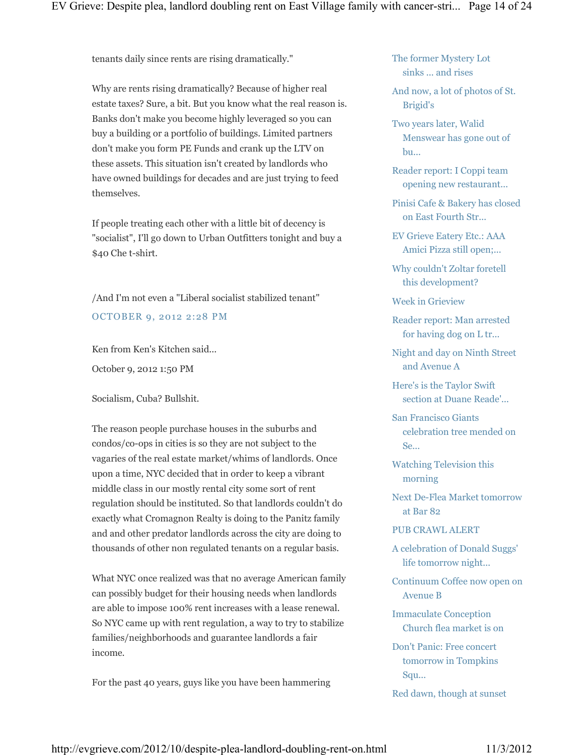tenants daily since rents are rising dramatically."

Why are rents rising dramatically? Because of higher real estate taxes? Sure, a bit. But you know what the real reason is. Banks don't make you become highly leveraged so you can buy a building or a portfolio of buildings. Limited partners don't make you form PE Funds and crank up the LTV on these assets. This situation isn't created by landlords who have owned buildings for decades and are just trying to feed themselves.

If people treating each other with a little bit of decency is "socialist", I'll go down to Urban Outfitters tonight and buy a \$40 Che t-shirt.

/And I'm not even a "Liberal socialist stabilized tenant" OCTOBER 9, 2012 2:28 PM

Ken from Ken's Kitchen said...

October 9, 2012 1:50 PM

Socialism, Cuba? Bullshit.

The reason people purchase houses in the suburbs and condos/co-ops in cities is so they are not subject to the vagaries of the real estate market/whims of landlords. Once upon a time, NYC decided that in order to keep a vibrant middle class in our mostly rental city some sort of rent regulation should be instituted. So that landlords couldn't do exactly what Cromagnon Realty is doing to the Panitz family and and other predator landlords across the city are doing to thousands of other non regulated tenants on a regular basis.

What NYC once realized was that no average American family can possibly budget for their housing needs when landlords are able to impose 100% rent increases with a lease renewal. So NYC came up with rent regulation, a way to try to stabilize families/neighborhoods and guarantee landlords a fair income.

For the past 40 years, guys like you have been hammering

The former Mystery Lot sinks ... and rises

And now, a lot of photos of St. Brigid's

Two years later, Walid Menswear has gone out of bu...

Reader report: I Coppi team opening new restaurant...

Pinisi Cafe & Bakery has closed on East Fourth Str...

EV Grieve Eatery Etc.: AAA Amici Pizza still open;...

Why couldn't Zoltar foretell this development?

Week in Grieview

Reader report: Man arrested for having dog on L tr...

Night and day on Ninth Street and Avenue A

Here's is the Taylor Swift section at Duane Reade'...

San Francisco Giants celebration tree mended on Se...

Watching Television this morning

Next De-Flea Market tomorrow at Bar 82

### PUB CRAWL ALERT

A celebration of Donald Suggs' life tomorrow night...

Continuum Coffee now open on Avenue B

Immaculate Conception Church flea market is on

Don't Panic: Free concert tomorrow in Tompkins Squ...

Red dawn, though at sunset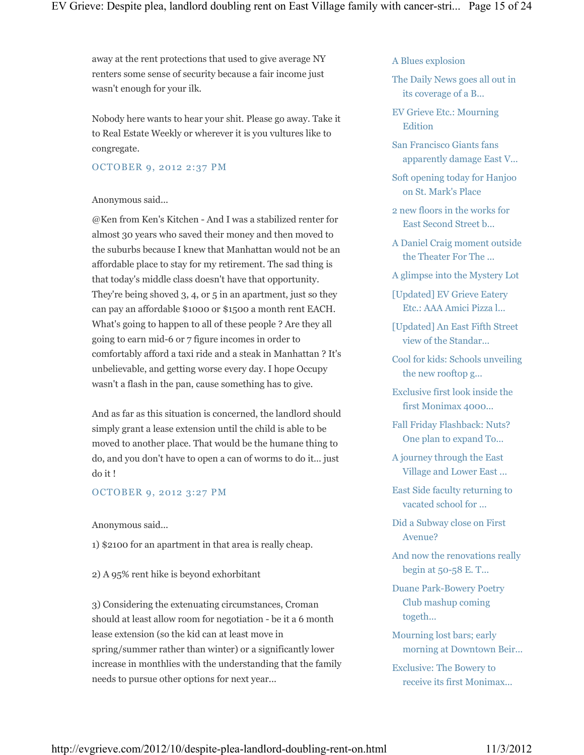away at the rent protections that used to give average NY renters some sense of security because a fair income just wasn't enough for your ilk.

Nobody here wants to hear your shit. Please go away. Take it to Real Estate Weekly or wherever it is you vultures like to congregate.

### OCTOBER 9, 2012 2:37 PM

#### Anonymous said...

@Ken from Ken's Kitchen - And I was a stabilized renter for almost 30 years who saved their money and then moved to the suburbs because I knew that Manhattan would not be an affordable place to stay for my retirement. The sad thing is that today's middle class doesn't have that opportunity. They're being shoved 3, 4, or 5 in an apartment, just so they can pay an affordable \$1000 or \$1500 a month rent EACH. What's going to happen to all of these people ? Are they all going to earn mid-6 or 7 figure incomes in order to comfortably afford a taxi ride and a steak in Manhattan ? It's unbelievable, and getting worse every day. I hope Occupy wasn't a flash in the pan, cause something has to give.

And as far as this situation is concerned, the landlord should simply grant a lease extension until the child is able to be moved to another place. That would be the humane thing to do, and you don't have to open a can of worms to do it... just do it !

### OCTOBER 9, 2012 3:27 PM

Anonymous said...

1) \$2100 for an apartment in that area is really cheap.

2) A 95% rent hike is beyond exhorbitant

3) Considering the extenuating circumstances, Croman should at least allow room for negotiation - be it a 6 month lease extension (so the kid can at least move in spring/summer rather than winter) or a significantly lower increase in monthlies with the understanding that the family needs to pursue other options for next year...

A Blues explosion

The Daily News goes all out in its coverage of a B...

EV Grieve Etc.: Mourning Edition

San Francisco Giants fans apparently damage East V...

Soft opening today for Hanjoo on St. Mark's Place

2 new floors in the works for East Second Street b...

A Daniel Craig moment outside the Theater For The ...

A glimpse into the Mystery Lot

[Updated] EV Grieve Eatery Etc.: AAA Amici Pizza l...

[Updated] An East Fifth Street view of the Standar...

Cool for kids: Schools unveiling the new rooftop g...

Exclusive first look inside the first Monimax 4000...

Fall Friday Flashback: Nuts? One plan to expand To...

A journey through the East Village and Lower East ...

East Side faculty returning to vacated school for ...

Did a Subway close on First Avenue?

And now the renovations really begin at 50-58 E. T...

Duane Park-Bowery Poetry Club mashup coming togeth...

Mourning lost bars; early morning at Downtown Beir...

Exclusive: The Bowery to receive its first Monimax...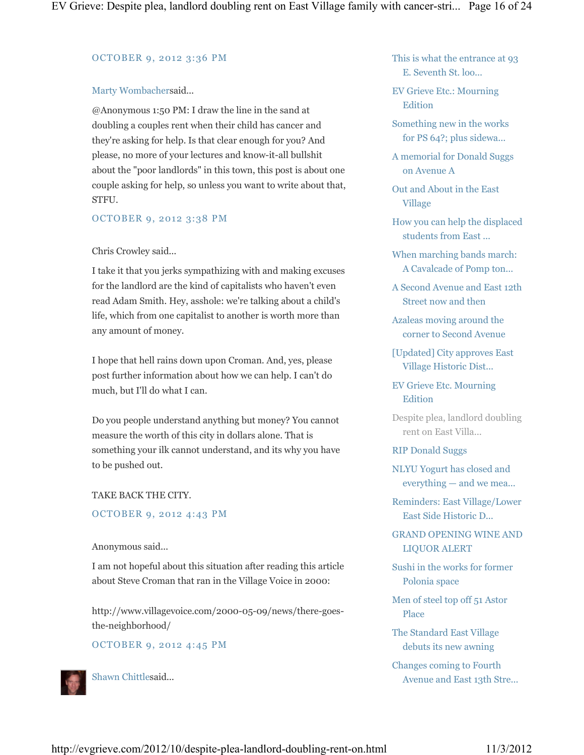#### OCTOBER 9, 2012 3:36 PM

### Marty Wombachersaid...

@Anonymous 1:50 PM: I draw the line in the sand at doubling a couples rent when their child has cancer and they're asking for help. Is that clear enough for you? And please, no more of your lectures and know-it-all bullshit about the "poor landlords" in this town, this post is about one couple asking for help, so unless you want to write about that, STFU.

### OCTOBER 9, 2012 3:38 PM

### Chris Crowley said...

I take it that you jerks sympathizing with and making excuses for the landlord are the kind of capitalists who haven't even read Adam Smith. Hey, asshole: we're talking about a child's life, which from one capitalist to another is worth more than any amount of money.

I hope that hell rains down upon Croman. And, yes, please post further information about how we can help. I can't do much, but I'll do what I can.

Do you people understand anything but money? You cannot measure the worth of this city in dollars alone. That is something your ilk cannot understand, and its why you have to be pushed out.

### TAKE BACK THE CITY.

### OCTOBER 9, 2012 4:43 PM

### Anonymous said...

I am not hopeful about this situation after reading this article about Steve Croman that ran in the Village Voice in 2000:

http://www.villagevoice.com/2000-05-09/news/there-goesthe-neighborhood/

### OCTOBER 9, 2012 4:45 PM



Shawn Chittlesaid...

This is what the entrance at 93 E. Seventh St. loo...

EV Grieve Etc.: Mourning Edition

Something new in the works for PS 64?; plus sidewa...

A memorial for Donald Suggs on Avenue A

Out and About in the East Village

How you can help the displaced students from East ...

When marching bands march: A Cavalcade of Pomp ton...

A Second Avenue and East 12th Street now and then

Azaleas moving around the corner to Second Avenue

[Updated] City approves East Village Historic Dist...

### EV Grieve Etc. Mourning Edition

Despite plea, landlord doubling rent on East Villa...

### RIP Donald Suggs

NLYU Yogurt has closed and everything — and we mea...

Reminders: East Village/Lower East Side Historic D...

GRAND OPENING WINE AND LIQUOR ALERT

Sushi in the works for former Polonia space

Men of steel top off 51 Astor Place

The Standard East Village debuts its new awning

Changes coming to Fourth Avenue and East 13th Stre...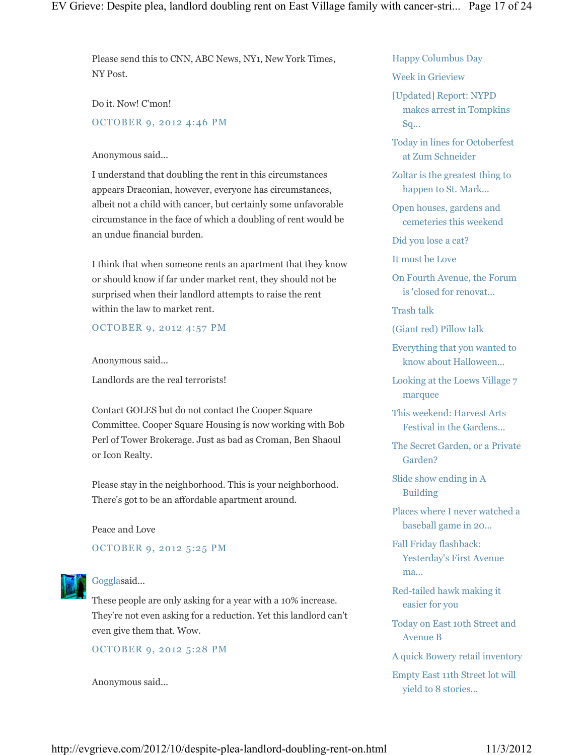Please send this to CNN, ABC News, NY1, New York Times, NY Post.

Do it. Now! C'mon! OCTOBER 9, 2012 4:46 PM

#### Anonymous said...

I understand that doubling the rent in this circumstances appears Draconian, however, everyone has circumstances, albeit not a child with cancer, but certainly some unfavorable circumstance in the face of which a doubling of rent would be an undue financial burden.

I think that when someone rents an apartment that they know or should know if far under market rent, they should not be surprised when their landlord attempts to raise the rent within the law to market rent.

### OCTOBER 9, 2012 4:57 PM

Anonymous said...

Landlords are the real terrorists!

Contact GOLES but do not contact the Cooper Square Committee. Cooper Square Housing is now working with Bob Perl of Tower Brokerage. Just as bad as Croman, Ben Shaoul or Icon Realty.

Please stay in the neighborhood. This is your neighborhood. There's got to be an affordable apartment around.

Peace and Love

OCTOBER 9, 2012 5:25 PM



#### Gogglasaid...

These people are only asking for a year with a 10% increase. They're not even asking for a reduction. Yet this landlord can't even give them that. Wow.

OCTOBER 9, 2012 5:28 PM

Anonymous said...

Happy Columbus Day

Week in Grieview

[Updated] Report: NYPD makes arrest in Tompkins Sq...

Today in lines for Octoberfest at Zum Schneider

Zoltar is the greatest thing to happen to St. Mark...

Open houses, gardens and cemeteries this weekend

Did you lose a cat?

It must be Love

On Fourth Avenue, the Forum is 'closed for renovat...

Trash talk

(Giant red) Pillow talk

Everything that you wanted to know about Halloween...

Looking at the Loews Village 7 marquee

This weekend: Harvest Arts Festival in the Gardens...

The Secret Garden, or a Private Garden?

Slide show ending in A Building

Places where I never watched a baseball game in 20...

Fall Friday flashback: Yesterday's First Avenue ma...

Red-tailed hawk making it easier for you

Today on East 10th Street and Avenue B

A quick Bowery retail inventory

Empty East 11th Street lot will yield to 8 stories...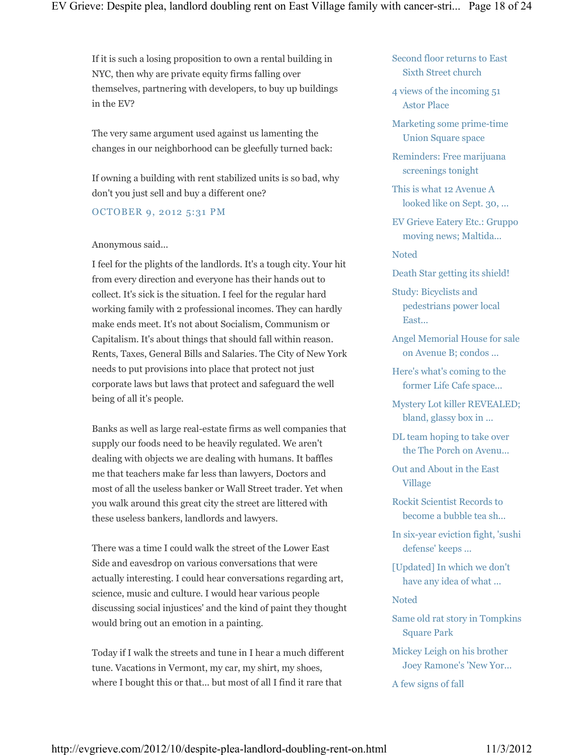If it is such a losing proposition to own a rental building in NYC, then why are private equity firms falling over themselves, partnering with developers, to buy up buildings in the EV?

The very same argument used against us lamenting the changes in our neighborhood can be gleefully turned back:

If owning a building with rent stabilized units is so bad, why don't you just sell and buy a different one?

### OCTOBER 9, 2012 5:31 PM

### Anonymous said...

I feel for the plights of the landlords. It's a tough city. Your hit from every direction and everyone has their hands out to collect. It's sick is the situation. I feel for the regular hard working family with 2 professional incomes. They can hardly make ends meet. It's not about Socialism, Communism or Capitalism. It's about things that should fall within reason. Rents, Taxes, General Bills and Salaries. The City of New York needs to put provisions into place that protect not just corporate laws but laws that protect and safeguard the well being of all it's people.

Banks as well as large real-estate firms as well companies that supply our foods need to be heavily regulated. We aren't dealing with objects we are dealing with humans. It baffles me that teachers make far less than lawyers, Doctors and most of all the useless banker or Wall Street trader. Yet when you walk around this great city the street are littered with these useless bankers, landlords and lawyers.

There was a time I could walk the street of the Lower East Side and eavesdrop on various conversations that were actually interesting. I could hear conversations regarding art, science, music and culture. I would hear various people discussing social injustices' and the kind of paint they thought would bring out an emotion in a painting.

Today if I walk the streets and tune in I hear a much different tune. Vacations in Vermont, my car, my shirt, my shoes, where I bought this or that... but most of all I find it rare that

Second floor returns to East Sixth Street church

4 views of the incoming 51 Astor Place

Marketing some prime-time Union Square space

Reminders: Free marijuana screenings tonight

This is what 12 Avenue A looked like on Sept. 30, ...

EV Grieve Eatery Etc.: Gruppo moving news; Maltida...

Noted

Death Star getting its shield!

Study: Bicyclists and pedestrians power local East...

Angel Memorial House for sale on Avenue B; condos ...

Here's what's coming to the former Life Cafe space...

Mystery Lot killer REVEALED; bland, glassy box in ...

DL team hoping to take over the The Porch on Avenu...

Out and About in the East Village

Rockit Scientist Records to become a bubble tea sh...

In six-year eviction fight, 'sushi defense' keeps ...

[Updated] In which we don't have any idea of what ...

**Noted** 

Same old rat story in Tompkins Square Park

Mickey Leigh on his brother Joey Ramone's 'New Yor...

A few signs of fall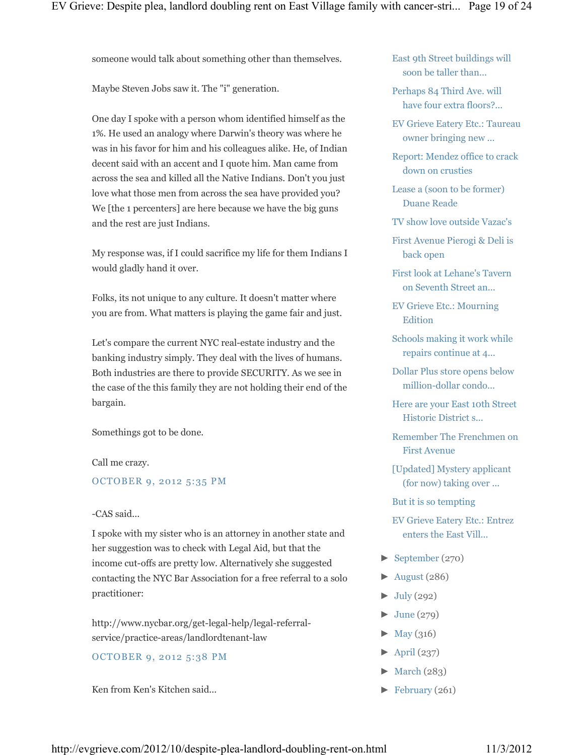someone would talk about something other than themselves.

Maybe Steven Jobs saw it. The "i" generation.

One day I spoke with a person whom identified himself as the 1%. He used an analogy where Darwin's theory was where he was in his favor for him and his colleagues alike. He, of Indian decent said with an accent and I quote him. Man came from across the sea and killed all the Native Indians. Don't you just love what those men from across the sea have provided you? We [the 1 percenters] are here because we have the big guns and the rest are just Indians.

My response was, if I could sacrifice my life for them Indians I would gladly hand it over.

Folks, its not unique to any culture. It doesn't matter where you are from. What matters is playing the game fair and just.

Let's compare the current NYC real-estate industry and the banking industry simply. They deal with the lives of humans. Both industries are there to provide SECURITY. As we see in the case of the this family they are not holding their end of the bargain.

Somethings got to be done.

Call me crazy.

OCTOBER 9, 2012 5:35 PM

### -CAS said...

I spoke with my sister who is an attorney in another state and her suggestion was to check with Legal Aid, but that the income cut-offs are pretty low. Alternatively she suggested contacting the NYC Bar Association for a free referral to a solo practitioner:

http://www.nycbar.org/get-legal-help/legal-referralservice/practice-areas/landlordtenant-law

OCTOBER 9, 2012 5:38 PM

Ken from Ken's Kitchen said...

East 9th Street buildings will soon be taller than...

Perhaps 84 Third Ave. will have four extra floors?...

EV Grieve Eatery Etc.: Taureau owner bringing new ...

Report: Mendez office to crack down on crusties

Lease a (soon to be former) Duane Reade

TV show love outside Vazac's

First Avenue Pierogi & Deli is back open

First look at Lehane's Tavern on Seventh Street an...

EV Grieve Etc.: Mourning Edition

Schools making it work while repairs continue at 4...

Dollar Plus store opens below million-dollar condo...

Here are your East 10th Street Historic District s...

Remember The Frenchmen on First Avenue

[Updated] Mystery applicant (for now) taking over ...

But it is so tempting

EV Grieve Eatery Etc.: Entrez enters the East Vill...

- ► September (270)
- $\blacktriangleright$  August (286)
- $\blacktriangleright$  July (292)
- $\blacktriangleright$  June (279)
- $\blacktriangleright$  May (316)
- $\blacktriangleright$  April (237)
- $\blacktriangleright$  March (283)
- ► February (261)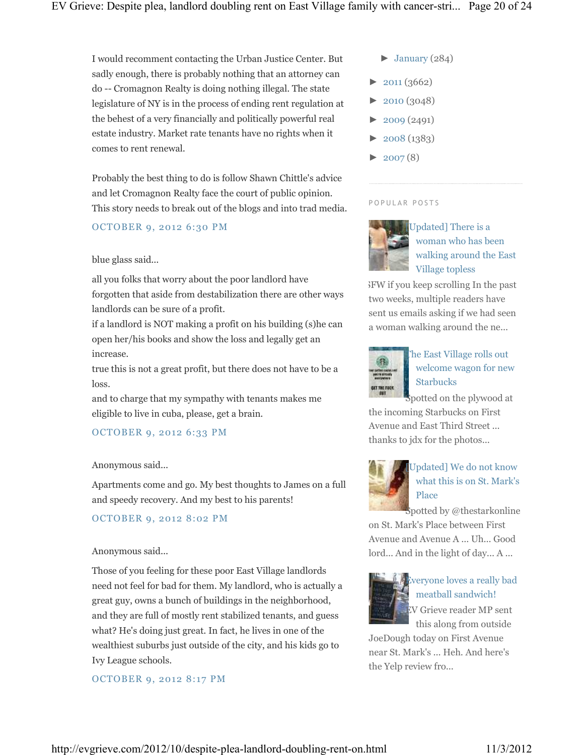I would recomment contacting the Urban Justice Center. But sadly enough, there is probably nothing that an attorney can do -- Cromagnon Realty is doing nothing illegal. The state legislature of NY is in the process of ending rent regulation at the behest of a very financially and politically powerful real estate industry. Market rate tenants have no rights when it comes to rent renewal.

Probably the best thing to do is follow Shawn Chittle's advice and let Cromagnon Realty face the court of public opinion. This story needs to break out of the blogs and into trad media.

### OCTOBER 9, 2012 6:30 PM

### blue glass said...

all you folks that worry about the poor landlord have forgotten that aside from destabilization there are other ways landlords can be sure of a profit.

if a landlord is NOT making a profit on his building (s)he can open her/his books and show the loss and legally get an increase.

true this is not a great profit, but there does not have to be a loss.

and to charge that my sympathy with tenants makes me eligible to live in cuba, please, get a brain.

### OCTOBER 9, 2012 6:33 PM

### Anonymous said...

Apartments come and go. My best thoughts to James on a full and speedy recovery. And my best to his parents!

### OCTOBER 9, 2012 8:02 PM

### Anonymous said...

Those of you feeling for these poor East Village landlords need not feel for bad for them. My landlord, who is actually a great guy, owns a bunch of buildings in the neighborhood, and they are full of mostly rent stabilized tenants, and guess what? He's doing just great. In fact, he lives in one of the wealthiest suburbs just outside of the city, and his kids go to Ivy League schools.

### OCTOBER 9, 2012 8:17 PM

- $\blacktriangleright$  January (284)
- $\blacktriangleright$  2011 (3662)
- $\blacktriangleright$  2010 (3048)
- $\blacktriangleright$  2009 (2491)
- ► 2008 (1383)
- $\blacktriangleright$  2007(8)

#### P O P U L A R P O S T S



Updated] There is a woman who has been walking around the East Village topless

NSFW if you keep scrolling In the past two weeks, multiple readers have sent us emails asking if we had seen a woman walking around the ne...



# The East Village rolls out welcome wagon for new Starbucks

spotted on the plywood at the incoming Starbucks on First Avenue and East Third Street ... thanks to jdx for the photos...



# Updated] We do not know what this is on St. Mark's Place

Spotted by @thestarkonline on St. Mark's Place between First Avenue and Avenue A ... Uh... Good lord... And in the light of day... A ...



# Everyone loves a really bad meatball sandwich! EV Grieve reader MP sent this along from outside

JoeDough today on First Avenue near St. Mark's ... Heh. And here's the Yelp review fro...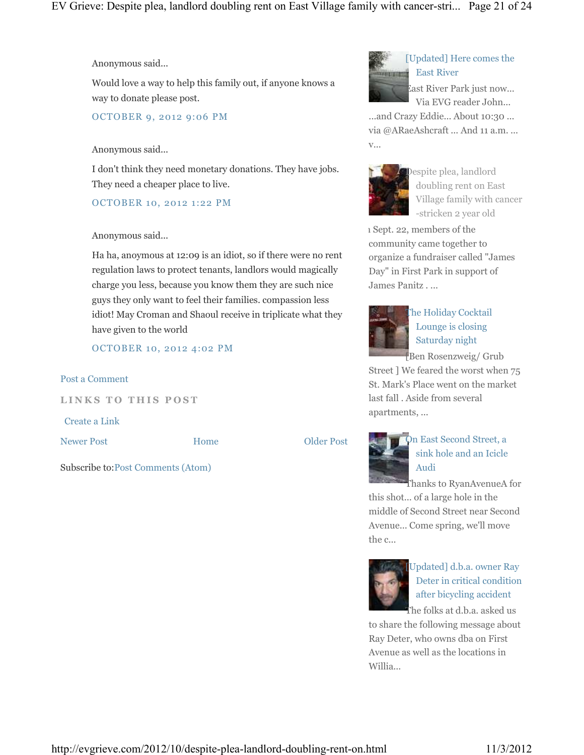Anonymous said...

Would love a way to help this family out, if anyone knows a way to donate please post.

OCTOBER 9, 2012 9:06 PM

#### Anonymous said...

I don't think they need monetary donations. They have jobs. They need a cheaper place to live.

OCTOBER 10, 2012 1:22 PM

#### Anonymous said...

Ha ha, anoymous at 12:09 is an idiot, so if there were no rent regulation laws to protect tenants, landlors would magically charge you less, because you know them they are such nice guys they only want to feel their families. compassion less idiot! May Croman and Shaoul receive in triplicate what they have given to the world

OCTOBER 10, 2012 4:02 PM

#### Post a Comment

**LINKS TO THIS POST** 

Subscribe to:Post Comments (Atom)

Create a Link

Newer Post **COLOREY EXECUTE:** Home **COLOREY POST** 

Home



# On East Second Street, a sink hole and an Icicle Audi

Thanks to RyanAvenueA for this shot... of a large hole in the middle of Second Street near Second Avenue... Come spring, we'll move the c...



[Updated] d.b.a. owner Ray Deter in critical condition after bicycling accident

The folks at d.b.a. asked us to share the following message about Ray Deter, who owns dba on First Avenue as well as the locations in Willia...



## [Updated] Here comes the East River

East River Park just now... Via EVG reader John...

...and Crazy Eddie... About 10:30 ... via @ARaeAshcraft ... And 11 a.m. ... v...



Despite plea, landlord doubling rent on East Village family with cancer -stricken 2 year old

1 Sept. 22, members of the community came together to organize a fundraiser called "James Day" in First Park in support of James Panitz . ...



The Holiday Cocktail Lounge is closing Saturday night

[Ben Rosenzweig/ Grub

Street ] We feared the worst when 75 St. Mark's Place went on the market last fall . Aside from several apartments, ...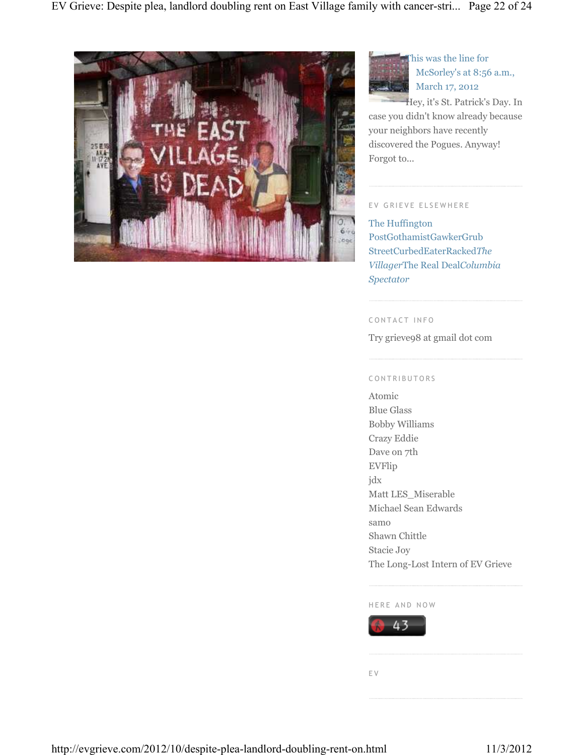



This was the line for McSorley's at 8:56 a.m., March 17, 2012

Hey, it's St. Patrick's Day. In case you didn't know already because your neighbors have recently discovered the Pogues. Anyway! Forgot to...

### EV GRIEVE ELSEWHERE

The Huffington PostGothamistGawkerGrub StreetCurbedEaterRacked*The Villager*The Real Deal*Columbia Spectator*

#### C O N T A C T I N F O

Try grieve98 at gmail dot com

### C O N T R I B U T O R S

Atomic Blue Glass Bobby Williams Crazy Eddie Dave on 7th EVFlip jdx Matt LES\_Miserable Michael Sean Edwards samo Shawn Chittle Stacie Joy The Long-Lost Intern of EV Grieve

#### HERE AND NOW



E V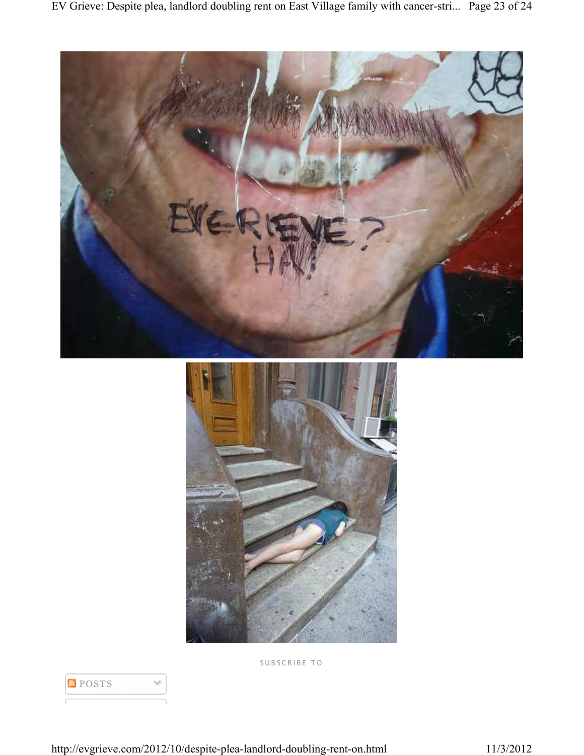



S U B S C R I B E T O



http://evgrieve.com/2012/10/despite-plea-landlord-doubling-rent-on.html 11/3/2012